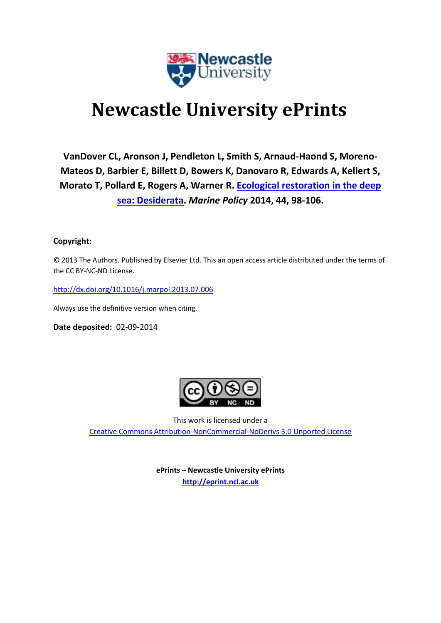

# **Newcastle University ePrints**

**VanDover CL, Aronson J, Pendleton L, Smith S, Arnaud-Haond S, Moreno-Mateos D, Barbier E, Billett D, Bowers K, Danovaro R, Edwards A, Kellert S, Morato T, Pollard E, Rogers A, Warner R. Ecological [restoration in the deep](javascript:ViewPublication(206116);)  [sea: Desiderata.](javascript:ViewPublication(206116);)** *Marine Policy* **2014, 44, 98-106.**

### **Copyright:**

© 2013 The Authors. Published by Elsevier Ltd. This an open access article distributed under the terms of the CC BY-NC-ND License.

<http://dx.doi.org/10.1016/j.marpol.2013.07.006>

Always use the definitive version when citing.

**Date deposited:** 02-09-2014



This work is licensed under a [Creative Commons Attribution-NonCommercial-NoDerivs](http://creativecommons.org/licenses/by-nc-nd/3.0/) 3.0 Unported License

> **ePrints – Newcastle University ePrints [http://eprint.ncl.ac.uk](http://eprint.ncl.ac.uk/)**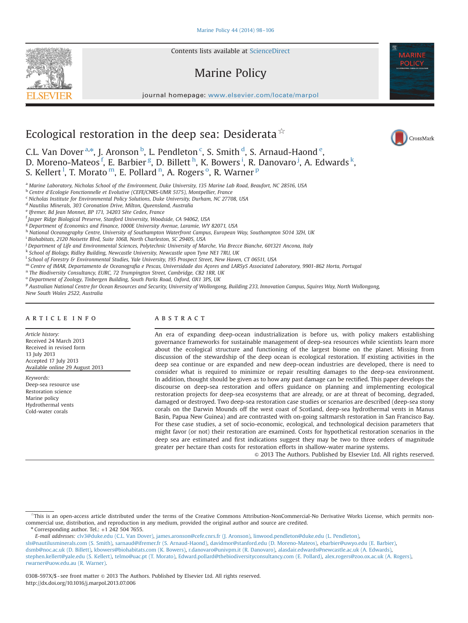Contents lists available at [ScienceDirect](www.sciencedirect.com/science/journal/0308597X)

## Marine Policy

journal homepage: <www.elsevier.com/locate/marpol>



C.L. Van Dover<sup>a,\*</sup>, J. Aronson <sup>b</sup>, L. Pendleton <sup>c</sup>, S. Smith <sup>d</sup>, S. Arnaud-Haond <sup>e</sup>, D. Moreno-Mateos <sup>f</sup>, E. Barbier <sup>g</sup>, D. Billett <sup>h</sup>, K. Bowers <sup>i</sup>, R. Danovaro <sup>j</sup>, A. Edwards <sup>k</sup>, S. Kellert <sup>1</sup>, T. Morato <sup>m</sup>, E. Pollard <sup>n</sup>, A. Rogers <sup>o</sup>, R. Warner <sup>p</sup>

<sup>a</sup> Marine Laboratory, Nicholas School of the Environment, Duke University, 135 Marine Lab Road, Beaufort, NC 28516, USA

<sup>b</sup> Centre d′Ecologie Fonctionnelle et Evolutive (CEFE/CNRS-UMR 5175), Montpellier, France

<sup>c</sup> Nicholas Institute for Environmental Policy Solutions, Duke University, Durham, NC 27708, USA

<sup>d</sup> Nautilus Minerals, 303 Coronation Drive, Milton, Queensland, Australia

<sup>e</sup> Ifremer, Bd Jean Monnet, BP 171, 34203 Sète Cedex, France

f Jasper Ridge Biological Preserve, Stanford University, Woodside, CA 94062, USA

<sup>g</sup> Department of Economics and Finance, 1000E University Avenue, Laramie, WY 82071, USA

h National Oceanography Centre, University of Southampton Waterfront Campus, European Way, Southampton SO14 3ZH, UK

<sup>i</sup> Biohabitats, 2120 Noisette Blvd, Suite 106B, North Charleston, SC 29405, USA

j Department of Life and Environmental Sciences, Polytechnic University of Marche, Via Brecce Bianche, 601321 Ancona, Italy

k School of Biology, Ridley Building, Newcastle University, Newcastle upon Tyne NE1 7RU, UK

<sup>1</sup> School of Forestry & Environmental Studies, Yale University, 195 Prospect Street, New Haven, CT 06511, USA

<sup>m</sup> Centre of IMAR, Departamento de Oceanografia e Pescas, Universidade dos Açores and LARSyS Associated Laboratory, 9901-862 Horta, Portugal

<sup>n</sup> The Biodiversity Consultancy, EURC, 72 Trumpington Street, Cambridge, CB2 1RR, UK

<sup>o</sup> Department of Zoology, Tinbergen Building, South Parks Road, Oxford, OX1 3PS, UK

P Australian National Centre for Ocean Resources and Security, University of Wollongong, Building 233, Innovation Campus, Squires Way, North Wollongong, New South Wales 2522, Australia

#### A R T I C L E I N F O

Article history: Received 24 March 2013 Received in revised form 13 July 2013 Accepted 17 July 2013 Available online 29 August 2013

Keywords: Deep-sea resource use Restoration science Marine policy Hydrothermal vents Cold-water corals

#### **ABSTRACT**

An era of expanding deep-ocean industrialization is before us, with policy makers establishing governance frameworks for sustainable management of deep-sea resources while scientists learn more about the ecological structure and functioning of the largest biome on the planet. Missing from discussion of the stewardship of the deep ocean is ecological restoration. If existing activities in the deep sea continue or are expanded and new deep-ocean industries are developed, there is need to consider what is required to minimize or repair resulting damages to the deep-sea environment. In addition, thought should be given as to how any past damage can be rectified. This paper develops the discourse on deep-sea restoration and offers guidance on planning and implementing ecological restoration projects for deep-sea ecosystems that are already, or are at threat of becoming, degraded, damaged or destroyed. Two deep-sea restoration case studies or scenarios are described (deep-sea stony corals on the Darwin Mounds off the west coast of Scotland, deep-sea hydrothermal vents in Manus Basin, Papua New Guinea) and are contrasted with on-going saltmarsh restoration in San Francisco Bay. For these case studies, a set of socio-economic, ecological, and technological decision parameters that might favor (or not) their restoration are examined. Costs for hypothetical restoration scenarios in the deep sea are estimated and first indications suggest they may be two to three orders of magnitude greater per hectare than costs for restoration efforts in shallow-water marine systems.

 $\odot$  2013 The Authors. Published by Elsevier Ltd. All rights reserved.

☆This is an open-access article distributed under the terms of the Creative Commons Attribution-NonCommercial-No Derivative Works License, which permits noncommercial use, distribution, and reproduction in any medium, provided the original author and source are credited.

 $*$  Corresponding author. Tel.:  $+1$  242 504 7655.

E-mail addresses: [clv3@duke.edu](mailto:clv3@duke.edu) (C.L. Van Dover), [james.aronson@cefe.cnrs.fr](mailto:james.aronson@cefe.cnrs.fr) (J. Aronson), [linwood.pendleton@duke.edu](mailto:linwood.pendleton@duke.edu) (L. Pendleton), [sls@nautilusminerals.com](mailto:sls@nautilusminerals.com) (S. Smith), [sarnaud@ifremer.fr](mailto:sarnaud@ifremer.fr) (S. Arnaud-Haond), [davidmor@stanford.edu](mailto:davidmor@stanford.edu) (D. Moreno-Mateos), [ebarbier@uwyo.edu](mailto:ebarbier@uwyo.edu) (E. Barbier), [dsmb@noc.ac.uk](mailto:dsmb@noc.ac.uk) (D. Billett), [kbowers@biohabitats.com](mailto:kbowers@biohabitats.com) (K. Bowers), [r.danovaro@univpm.it](mailto:r.danovaro@univpm.it) (R. Danovaro), [alasdair.edwards@newcastle.ac.uk](mailto:alasdair.edwards@newcastle.ac.uk) (A. Edwards), [stephen.kellert@yale.edu](mailto:stephen.kellert@yale.edu) (S. Kellert), [telmo@uac.pt](mailto:telmo@uac.pt) (T. Morato), [Edward.pollard@thebiodiversityconsultancy.com](mailto:Edward.pollard@thebiodiversityconsultancy.com) (E. Pollard), [alex.rogers@zoo.ox.ac.uk](mailto:alex.rogers@zoo.ox.ac.uk) (A. Rogers), [rwarner@uow.edu.au](mailto:rwarner@uow.edu.au) (R. Warner).





CrossMark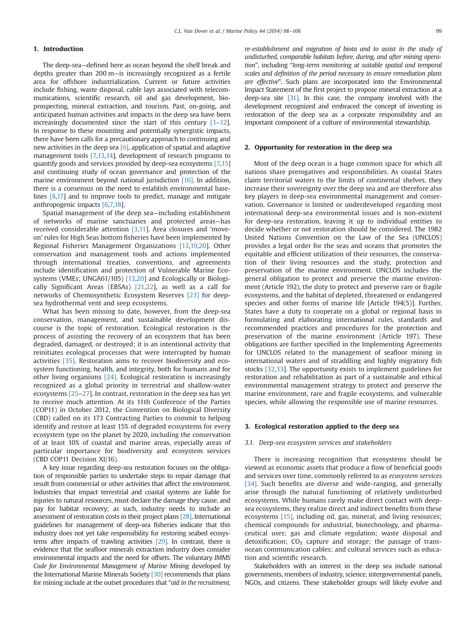#### 1. Introduction

The deep-sea—defined here as ocean beyond the shelf break and depths greater than 200 m—is increasingly recognized as a fertile area for offshore industrialization. Current or future activities include fishing, waste disposal, cable lays associated with telecommunications, scientific research, oil and gas development, bioprospecting, mineral extraction, and tourism. Past, on-going, and anticipated human activities and impacts in the deep sea have been increasingly documented since the start of this century [1–12]. In response to these mounting and potentially synergistic impacts, there have been calls for a precautionary approach to continuing and new activities in the deep sea [6], application of spatial and adaptive management tools [7,13,14], development of research programs to quantify goods and services provided by deep-sea ecosystems [7,15] and continuing study of ocean governance and protection of the marine environment beyond national jurisdiction [16]. In addition, there is a consensus on the need to establish environmental baselines [8,17] and to improve tools to predict, manage and mitigate anthropogenic impacts [6,7,18].

Spatial management of the deep sea—including establishment of networks of marine sanctuaries and protected areas—has received considerable attention [3,11]. Area closures and 'moveon' rules for High Seas bottom fisheries have been implemented by Regional Fisheries Management Organizations [13,19,20]. Other conservation and management tools and actions implemented through international treaties, conventions, and agreements include identification and protection of Vulnerable Marine Ecosystems (VMEs; UNGA61/105) [13,20] and Ecologically or Biologically Significant Areas (EBSAs) [21,22], as well as a call for networks of Chemosynthetic Ecosystem Reserves [23] for deepsea hydrothermal vent and seep ecosystems.

What has been missing to date, however, from the deep-sea conservation, management, and sustainable development discourse is the topic of restoration. Ecological restoration is the process of assisting the recovery of an ecosystem that has been degraded, damaged, or destroyed; it is an intentional activity that reinitiates ecological processes that were interrupted by human activities [35]. Restoration aims to recover biodiversity and ecosystem functioning, health, and integrity, both for humans and for other living organisms [24]. Ecological restoration is increasingly recognized as a global priority in terrestrial and shallow-water ecosystems [25–27]. In contrast, restoration in the deep sea has yet to receive much attention. At its 11th Conference of the Parties (COP11) in October 2012, the Convention on Biological Diversity (CBD) called on its 173 Contracting Parties to commit to helping identify and restore at least 15% of degraded ecosystems for every ecosystem type on the planet by 2020, including the conservation of at least 10% of coastal and marine areas, especially areas of particular importance for biodiversity and ecosystem services (CBD COP11 Decision XI/16).

A key issue regarding deep-sea restoration focuses on the obligation of responsible parties to undertake steps to repair damage that result from commercial or other activities that affect the environment. Industries that impact terrestrial and coastal systems are liable for injuries to natural resources, must declare the damage they cause, and pay for habitat recovery; as such, industry needs to include an assessment of restoration costs in their project plans [28]. International guidelines for management of deep-sea fisheries indicate that this industry does not yet take responsibility for restoring seabed ecosystems after impacts of trawling activities [29]. In contrast, there is evidence that the seafloor minerals extraction industry does consider environmental impacts and the need for offsets. The voluntary IMMS Code for Environmental Management of Marine Mining developed by the International Marine Minerals Society [30] recommends that plans for mining include at the outset procedures that "aid in the recruitment,

re-establishment and migration of biota and to assist in the study of undisturbed, comparable habitats before, during, and after mining operation", including "long-term monitoring at suitable spatial and temporal scales and definition of the period necessary to ensure remediation plans are effective". Such plans are incorporated into the Environmental Impact Statement of the first project to propose mineral extraction at a deep-sea site [31]. In this case, the company involved with the development recognized and embraced the concept of investing in restoration of the deep sea as a corporate responsibility and an important component of a culture of environmental stewardship.

#### 2. Opportunity for restoration in the deep sea

Most of the deep ocean is a huge common space for which all nations share prerogatives and responsibilities. As coastal States claim territorial waters to the limits of continental shelves, they increase their sovereignty over the deep sea and are therefore also key players in deep-sea environmental management and conservation. Governance is limited or underdeveloped regarding most international deep-sea environmental issues and is non-existent for deep-sea restoration, leaving it up to individual entities to decide whether or not restoration should be considered. The 1982 United Nations Convention on the Law of the Sea (UNCLOS) provides a legal order for the seas and oceans that promotes the equitable and efficient utilization of their resources, the conservation of their living resources and the study, protection and preservation of the marine environment. UNCLOS includes the general obligation to protect and preserve the marine environment (Article 192), the duty to protect and preserve rare or fragile ecosystems, and the habitat of depleted, threatened or endangered species and other forms of marine life [Article 194(5)]. Further, States have a duty to cooperate on a global or regional basis in formulating and elaborating international rules, standards and recommended practices and procedures for the protection and preservation of the marine environment (Article 197). These obligations are further specified in the Implementing Agreements for UNCLOS related to the management of seafloor mining in international waters and of straddling and highly migratory fish stocks [32,33]. The opportunity exists to implement guidelines for restoration and rehabilitation as part of a sustainable and ethical environmental management strategy to protect and preserve the marine environment, rare and fragile ecosystems, and vulnerable species, while allowing the responsible use of marine resources.

#### 3. Ecological restoration applied to the deep sea

#### 3.1. Deep-sea ecosystem services and stakeholders

There is increasing recognition that ecosystems should be viewed as economic assets that produce a flow of beneficial goods and services over time, commonly referred to as ecosystem services [34]. Such benefits are diverse and wide-ranging, and generally arise through the natural functioning of relatively undisturbed ecosystems. While humans rarely make direct contact with deepsea ecosystems, they realize direct and indirect benefits from these ecosystems [15], including oil, gas, mineral, and living resources; chemical compounds for industrial, biotechnology, and pharmaceutical uses; gas and climate regulation; waste disposal and detoxification;  $CO<sub>2</sub>$  capture and storage; the passage of transocean communication cables; and cultural services such as education and scientific research.

Stakeholders with an interest in the deep sea include national governments, members of industry, science, intergovernmental panels, NGOs, and citizens. These stakeholder groups will likely evolve and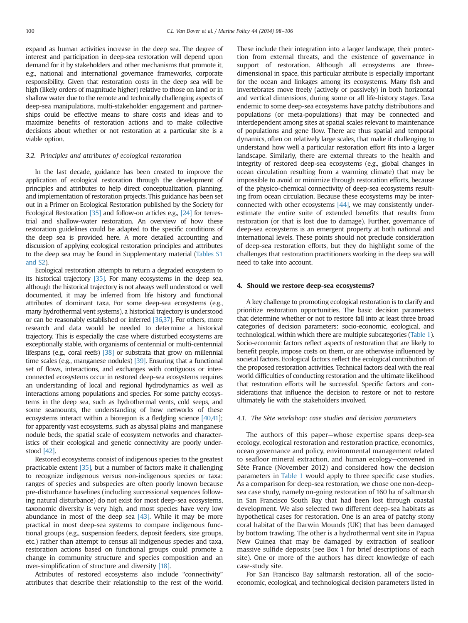expand as human activities increase in the deep sea. The degree of interest and participation in deep-sea restoration will depend upon demand for it by stakeholders and other mechanisms that promote it, e.g., national and international governance frameworks, corporate responsibility. Given that restoration costs in the deep sea will be high (likely orders of magnitude higher) relative to those on land or in shallow water due to the remote and technically challenging aspects of deep-sea manipulations, multi-stakeholder engagement and partnerships could be effective means to share costs and ideas and to maximize benefits of restoration actions and to make collective decisions about whether or not restoration at a particular site is a viable option.

#### 3.2. Principles and attributes of ecological restoration

In the last decade, guidance has been created to improve the application of ecological restoration through the development of principles and attributes to help direct conceptualization, planning, and implementation of restoration projects. This guidance has been set out in a Primer on Ecological Restoration published by the Society for Ecological Restoration [35] and follow-on articles e.g., [24] for terrestrial and shallow-water restoration. An overview of how these restoration guidelines could be adapted to the specific conditions of the deep sea is provided here. A more detailed accounting and discussion of applying ecological restoration principles and attributes to the deep sea may be found in Supplementary material (Tables S1 and S2).

Ecological restoration attempts to return a degraded ecosystem to its historical trajectory [35]. For many ecosystems in the deep sea, although the historical trajectory is not always well understood or well documented, it may be inferred from life history and functional attributes of dominant taxa. For some deep-sea ecosystems (e.g., many hydrothermal vent systems), a historical trajectory is understood or can be reasonably established or inferred [36,37]. For others, more research and data would be needed to determine a historical trajectory. This is especially the case where disturbed ecosystems are exceptionally stable, with organisms of centennial or multi-centennial lifespans (e.g., coral reefs) [38] or substrata that grow on millennial time scales (e.g., manganese nodules) [39]. Ensuring that a functional set of flows, interactions, and exchanges with contiguous or interconnected ecosystems occur in restored deep-sea ecosystems requires an understanding of local and regional hydrodynamics as well as interactions among populations and species. For some patchy ecosystems in the deep sea, such as hydrothermal vents, cold seeps, and some seamounts, the understanding of how networks of these ecosystems interact within a bioregion is a fledgling science [40,41]; for apparently vast ecosystems, such as abyssal plains and manganese nodule beds, the spatial scale of ecosystem networks and characteristics of their ecological and genetic connectivity are poorly understood [42].

Restored ecosystems consist of indigenous species to the greatest practicable extent [35], but a number of factors make it challenging to recognize indigenous versus non-indigenous species or taxa: ranges of species and subspecies are often poorly known because pre-disturbance baselines (including successional sequences following natural disturbance) do not exist for most deep-sea ecosystems, taxonomic diversity is very high, and most species have very low abundance in most of the deep sea  $[43]$ . While it may be more practical in most deep-sea systems to compare indigenous functional groups (e.g., suspension feeders, deposit feeders, size groups, etc.) rather than attempt to census all indigenous species and taxa, restoration actions based on functional groups could promote a change in community structure and species composition and an over-simplification of structure and diversity [18].

Attributes of restored ecosystems also include "connectivity" attributes that describe their relationship to the rest of the world. These include their integration into a larger landscape, their protection from external threats, and the existence of governance in support of restoration. Although all ecosystems are threedimensional in space, this particular attribute is especially important for the ocean and linkages among its ecosystems. Many fish and invertebrates move freely (actively or passively) in both horizontal and vertical dimensions, during some or all life-history stages. Taxa endemic to some deep-sea ecosystems have patchy distributions and populations (or meta-populations) that may be connected and interdependent among sites at spatial scales relevant to maintenance of populations and gene flow. There are thus spatial and temporal dynamics, often on relatively large scales, that make it challenging to understand how well a particular restoration effort fits into a larger landscape. Similarly, there are external threats to the health and integrity of restored deep-sea ecosystems (e.g., global changes in ocean circulation resulting from a warming climate) that may be impossible to avoid or minimize through restoration efforts, because of the physico-chemical connectivity of deep-sea ecosystems resulting from ocean circulation. Because these ecosystems may be interconnected with other ecosystems [44], we may consistently underestimate the entire suite of extended benefits that results from restoration (or that is lost due to damage). Further, governance of deep-sea ecosystems is an emergent property at both national and international levels. These points should not preclude consideration of deep-sea restoration efforts, but they do highlight some of the challenges that restoration practitioners working in the deep sea will need to take into account.

#### 4. Should we restore deep-sea ecosystems?

A key challenge to promoting ecological restoration is to clarify and prioritize restoration opportunities. The basic decision parameters that determine whether or not to restore fall into at least three broad categories of decision parameters: socio-economic, ecological, and technological, within which there are multiple subcategories (Table 1). Socio-economic factors reflect aspects of restoration that are likely to benefit people, impose costs on them, or are otherwise influenced by societal factors. Ecological factors reflect the ecological contribution of the proposed restoration activities. Technical factors deal with the real world difficulties of conducting restoration and the ultimate likelihood that restoration efforts will be successful. Specific factors and considerations that influence the decision to restore or not to restore ultimately lie with the stakeholders involved.

#### 4.1. The Sète workshop: case studies and decision parameters

The authors of this paper—whose expertise spans deep-sea ecology, ecological restoration and restoration practice, economics, ocean governance and policy, environmental management related to seafloor mineral extraction, and human ecology—convened in Sète France (November 2012) and considered how the decision parameters in Table 1 would apply to three specific case studies. As a comparison for deep-sea restoration, we chose one non-deepsea case study, namely on-going restoration of 160 ha of saltmarsh in San Francisco South Bay that had been lost through coastal development. We also selected two different deep-sea habitats as hypothetical cases for restoration. One is an area of patchy stony coral habitat of the Darwin Mounds (UK) that has been damaged by bottom trawling. The other is a hydrothermal vent site in Papua New Guinea that may be damaged by extraction of seafloor massive sulfide deposits (see Box 1 for brief descriptions of each site). One or more of the authors has direct knowledge of each case-study site.

For San Francisco Bay saltmarsh restoration, all of the socioeconomic, ecological, and technological decision parameters listed in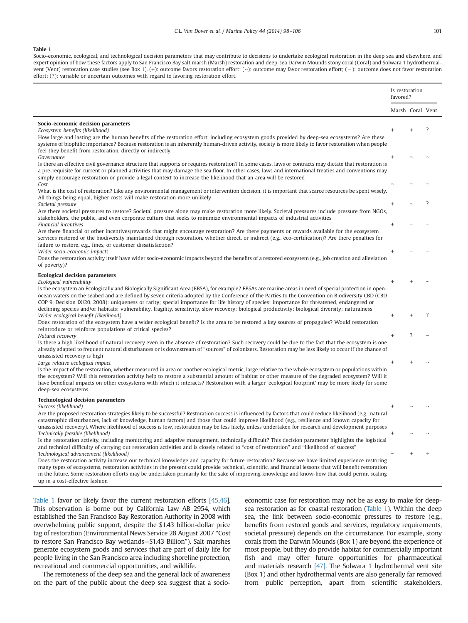#### Table 1

Socio-economic, ecological, and technological decision parameters that may contribute to decisions to undertake ecological restoration in the deep sea and elsewhere, and expert opinion of how these factors apply to San Francisco Bay salt marsh (Marsh) restoration and deep-sea Darwin Mounds stony coral (Coral) and Solwara 1 hydrothermalvent (Vent) restoration case studies (see Box 1). (+): outcome favors restoration effort; (~): outcome may favor restoration effort; (−): outcome does not favor restoration effort; (?): variable or uncertain outcomes with regard to favoring restoration effort.

|                                                                                                                                                                                                                                                                                                                                                                                                                                                                                                                                                                                                                                                                                        | Is restoration<br>favored? |  |  |
|----------------------------------------------------------------------------------------------------------------------------------------------------------------------------------------------------------------------------------------------------------------------------------------------------------------------------------------------------------------------------------------------------------------------------------------------------------------------------------------------------------------------------------------------------------------------------------------------------------------------------------------------------------------------------------------|----------------------------|--|--|
|                                                                                                                                                                                                                                                                                                                                                                                                                                                                                                                                                                                                                                                                                        | Marsh Coral Vent           |  |  |
| Socio-economic decision parameters<br>Ecosystem benefits (likelihood)<br>How large and lasting are the human benefits of the restoration effort, including ecosystem goods provided by deep-sea ecosystems? Are these<br>systems of biophilic importance? Because restoration is an inherently human-driven activity, society is more likely to favor restoration when people<br>feel they benefit from restoration, directly or indirectly                                                                                                                                                                                                                                            |                            |  |  |
| Governance<br>Is there an effective civil governance structure that supports or requires restoration? In some cases, laws or contracts may dictate that restoration is<br>a pre-requisite for current or planned activities that may damage the sea floor. In other cases, laws and international treaties and conventions may<br>simply encourage restoration or provide a legal context to increase the likelihood that an area will be restored                                                                                                                                                                                                                                     |                            |  |  |
| Cost<br>What is the cost of restoration? Like any environmental management or intervention decision, it is important that scarce resources be spent wisely.<br>All things being equal, higher costs will make restoration more unlikely                                                                                                                                                                                                                                                                                                                                                                                                                                                |                            |  |  |
| Societal pressure<br>Are there societal pressures to restore? Societal pressure alone may make restoration more likely. Societal pressures include pressure from NGOs,<br>stakeholders, the public, and even corporate culture that seeks to minimize environmental impacts of industrial activities<br>Financial incentives                                                                                                                                                                                                                                                                                                                                                           |                            |  |  |
| Are there financial or other incentives/rewards that might encourage restoration? Are there payments or rewards available for the ecosystem<br>services restored or the biodiversity maintained through restoration, whether direct, or indirect (e.g., eco-certification)? Are there penalties for<br>failure to restore, e.g., fines, or customer dissatisfaction?                                                                                                                                                                                                                                                                                                                   |                            |  |  |
| Wider socio-economic impacts<br>Does the restoration activity itself have wider socio-economic impacts beyond the benefits of a restored ecosystem (e.g., job creation and alleviation<br>of poverty)?                                                                                                                                                                                                                                                                                                                                                                                                                                                                                 |                            |  |  |
| <b>Ecological decision parameters</b><br>Ecological vulnerability<br>Is the ecosystem an Ecologically and Biologically Significant Area (EBSA), for example? EBSAs are marine areas in need of special protection in open-<br>ocean waters on the seabed and are defined by seven criteria adopted by the Conference of the Parties to the Convention on Biodiversity CBD (CBD)<br>COP 9, Decision IX/20, 2008): uniqueness or rarity; special importance for life history of species; importance for threatened, endangered or<br>declining species and/or habitats; vulnerability, fragility, sensitivity, slow recovery; biological productivity; biological diversity; naturalness |                            |  |  |
| Wider ecological benefit (likelihood)<br>Does restoration of the ecosystem have a wider ecological benefit? Is the area to be restored a key sources of propagules? Would restoration<br>reintroduce or reinforce populations of critical species?                                                                                                                                                                                                                                                                                                                                                                                                                                     |                            |  |  |
| Natural recovery<br>Is there a high likelihood of natural recovery even in the absence of restoration? Such recovery could be due to the fact that the ecosystem is one<br>already adapted to frequent natural disturbances or is downstream of "sources" of colonizers. Restoration may be less likely to occur if the chance of<br>unassisted recovery is high                                                                                                                                                                                                                                                                                                                       |                            |  |  |
| Large relative ecological impact<br>Is the impact of the restoration, whether measured in area or another ecological metric, large relative to the whole ecosystem or populations within<br>the ecosystem? Will this restoration activity help to restore a substantial amount of habitat or other measure of the degraded ecosystem? Will it<br>have beneficial impacts on other ecosystems with which it interacts? Restoration with a larger 'ecological footprint' may be more likely for some<br>deep-sea ecosystems                                                                                                                                                              |                            |  |  |
| <b>Technological decision parameters</b><br>Success (likelihood)<br>Are the proposed restoration strategies likely to be successful? Restoration success is influenced by factors that could reduce likelihood (e.g., natural<br>catastrophic disturbances, lack of knowledge, human factors) and those that could improve likelihood (e.g., resilience and known capacity for<br>unassisted recovery). Where likelihood of success is low, restoration may be less likely, unless undertaken for research and development purposes                                                                                                                                                    |                            |  |  |
| Technically feasible (likelihood)<br>Is the restoration activity, including monitoring and adaptive management, technically difficult? This decision parameter highlights the logistical<br>and technical difficulty of carrying out restoration activities and is closely related to "cost of restoration" and "likelihood of success"                                                                                                                                                                                                                                                                                                                                                |                            |  |  |
| Technological advancement (likelihood)<br>Does the restoration activity increase our technical knowledge and capacity for future restoration? Because we have limited experience restoring<br>many types of ecosystems, restoration activities in the present could provide technical, scientific, and financial lessons that will benefit restoration<br>in the future. Some restoration efforts may be undertaken primarily for the sake of improving knowledge and know-how that could permit scaling<br>up in a cost-effective fashion                                                                                                                                             |                            |  |  |

Table 1 favor or likely favor the current restoration efforts [45,46]. This observation is borne out by California Law AB 2954, which established the San Francisco Bay Restoration Authority in 2008 with overwhelming public support, despite the \$1.43 billion-dollar price tag of restoration (Environmental News Service 28 August 2007 "Cost to restore San Francisco Bay wetlands—\$1.43 Billion"). Salt marshes generate ecosystem goods and services that are part of daily life for people living in the San Francisco area including shoreline protection, recreational and commercial opportunities, and wildlife.

The remoteness of the deep sea and the general lack of awareness on the part of the public about the deep sea suggest that a socioeconomic case for restoration may not be as easy to make for deepsea restoration as for coastal restoration (Table 1). Within the deep sea, the link between socio-economic pressures to restore (e.g., benefits from restored goods and services, regulatory requirements, societal pressure) depends on the circumstance. For example, stony corals from the Darwin Mounds (Box 1) are beyond the experience of most people, but they do provide habitat for commercially important fish and may offer future opportunities for pharmaceutical and materials research [47]. The Solwara 1 hydrothermal vent site (Box 1) and other hydrothermal vents are also generally far removed from public perception, apart from scientific stakeholders,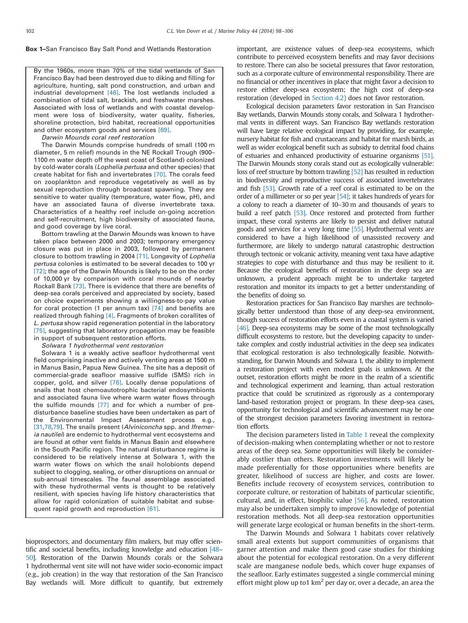#### **Box 1–**San Francisco Bay Salt Pond and Wetlands Restoration

By the 1960s, more than 70% of the tidal wetlands of San Francisco Bay had been destroyed due to diking and filling for agriculture, hunting, salt pond construction, and urban and industrial development [46]. The lost wetlands included a combination of tidal salt, brackish, and freshwater marshes. Associated with loss of wetlands and with coastal development were loss of biodiversity, water quality, fisheries, shoreline protection, bird habitat, recreational opportunities and other ecosystem goods and services [69].

*Darwin Mounds coral reef restoration*

The Darwin Mounds comprise hundreds of small (100 m diameter, 5 m relief) mounds in the NE Rockall Trough (900– 1100 m water depth off the west coast of Scotland) colonized by cold-water corals (*Lophelia pertusa* and other species) that create habitat for fish and invertebrates [70]. The corals feed on zooplankton and reproduce vegetatively as well as by sexual reproduction through broadcast spawning. They are sensitive to water quality (temperature, water flow, pH), and have an associated fauna of diverse invertebrate taxa. Characteristics of a healthy reef include on-going accretion and self-recruitment, high biodiversity of associated fauna, and good coverage by live coral.

Bottom trawling at the Darwin Mounds was known to have taken place between 2000 and 2003; temporary emergency closure was put in place in 2003, followed by permanent closure to bottom trawling in 2004 [71]. Longevity of *Lophelia pertusa* colonies is estimated to be several decades to 100 yr [72]; the age of the Darwin Mounds is likely to be on the order of 10,000 yr by comparison with coral mounds of nearby Rockall Bank [73]. There is evidence that there are benefits of deep-sea corals perceived and appreciated by society, based on choice experiments showing a willingness-to-pay value for coral protection (1 per annum tax) [74] and benefits are realized through fishing [4]. Fragments of broken corallites of *L. pertusa* show rapid regeneration potential in the laboratory [75], suggesting that laboratory propagation may be feasible in support of subsequent restoration efforts.

*Solwara 1 hydrothermal vent restoration*

Solwara 1 is a weakly active seafloor hydrothermal vent field comprising inactive and actively venting areas at 1500 m in Manus Basin, Papua New Guinea. The site has a deposit of commercial-grade seafloor massive sulfide (SMS) rich in copper, gold, and silver [76]. Locally dense populations of snails that host chemoautotrophic bacterial endosymbionts and associated fauna live where warm water flows through the sulfide mounds [77] and for which a number of predisturbance baseline studies have been undertaken as part of the Environmental Impact Assessment process e.g., [31,78,79]. The snails present (*Alviniconcha* spp. and *Ifremeria nautilei*) are endemic to hydrothermal vent ecosystems and are found at other vent fields in Manus Basin and elsewhere in the South Pacific region. The natural disturbance regime is considered to be relatively intense at Solwara 1, with the warm water flows on which the snail holobionts depend subject to clogging, sealing, or other disruptions on annual or sub-annual timescales. The faunal assemblage associated with these hydrothermal vents is thought to be relatively resilient, with species having life history characteristics that allow for rapid colonization of suitable habitat and subsequent rapid growth and reproduction [61].

bioprospectors, and documentary film makers, but may offer scientific and societal benefits, including knowledge and education [48– 50]. Restoration of the Darwin Mounds corals or the Solwara 1 hydrothermal vent site will not have wider socio-economic impact (e.g., job creation) in the way that restoration of the San Francisco Bay wetlands will. More difficult to quantify, but extremely important, are existence values of deep-sea ecosystems, which contribute to perceived ecosystem benefits and may favor decisions to restore. There can also be societal pressures that favor restoration, such as a corporate culture of environmental responsibility. There are no financial or other incentives in place that might favor a decision to restore either deep-sea ecosystem; the high cost of deep-sea restoration (developed in Section 4.2) does not favor restoration.

Ecological decision parameters favor restoration in San Francisco Bay wetlands, Darwin Mounds stony corals, and Solwara 1 hydrothermal vents in different ways. San Francisco Bay wetlands restoration will have large relative ecological impact by providing, for example, nursery habitat for fish and crustaceans and habitat for marsh birds, as well as wider ecological benefit such as subsidy to detrital food chains of estuaries and enhanced productivity of estuarine organisms [51]. The Darwin Mounds stony corals stand out as ecologically vulnerable: loss of reef structure by bottom trawling [52] has resulted in reduction in biodiversity and reproductive success of associated invertebrates and fish [53]. Growth rate of a reef coral is estimated to be on the order of a millimeter or so per year [54]; it takes hundreds of years for a colony to reach a diameter of 10–30 m and thousands of years to build a reef patch [53]. Once restored and protected from further impact, these coral systems are likely to persist and deliver natural goods and services for a very long time [55]. Hydrothermal vents are considered to have a high likelihood of unassisted recovery and furthermore, are likely to undergo natural catastrophic destruction through tectonic or volcanic activity, meaning vent taxa have adaptive strategies to cope with disturbance and thus may be resilient to it. Because the ecological benefits of restoration in the deep sea are unknown, a prudent approach might be to undertake targeted restoration and monitor its impacts to get a better understanding of the benefits of doing so.

Restoration practices for San Francisco Bay marshes are technologically better understood than those of any deep-sea environment, though success of restoration efforts even in a coastal system is varied [46]. Deep-sea ecosystems may be some of the most technologically difficult ecosystems to restore, but the developing capacity to undertake complex and costly industrial activities in the deep sea indicates that ecological restoration is also technologically feasible. Notwithstanding, for Darwin Mounds and Solwara 1, the ability to implement a restoration project with even modest goals is unknown. At the outset, restoration efforts might be more in the realm of a scientific and technological experiment and learning, than actual restoration practice that could be scrutinized as rigorously as a contemporary land-based restoration project or program. In these deep-sea cases, opportunity for technological and scientific advancement may be one of the strongest decision parameters favoring investment in restoration efforts.

The decision parameters listed in Table 1 reveal the complexity of decision-making when contemplating whether or not to restore areas of the deep sea. Some opportunities will likely be considerably costlier than others. Restoration investments will likely be made preferentially for those opportunities where benefits are greater, likelihood of success are higher, and costs are lower. Benefits include recovery of ecosystem services, contribution to corporate culture, or restoration of habitats of particular scientific, cultural, and, in effect, biophilic value [56]. As noted, restoration may also be undertaken simply to improve knowledge of potential restoration methods. Not all deep-sea restoration opportunities will generate large ecological or human benefits in the short-term.

The Darwin Mounds and Solwara 1 habitats cover relatively small areal extents but support communities of organisms that garner attention and make them good case studies for thinking about the potential for ecological restoration. On a very different scale are manganese nodule beds, which cover huge expanses of the seafloor. Early estimates suggested a single commercial mining effort might plow up to1  $km^2$  per day or, over a decade, an area the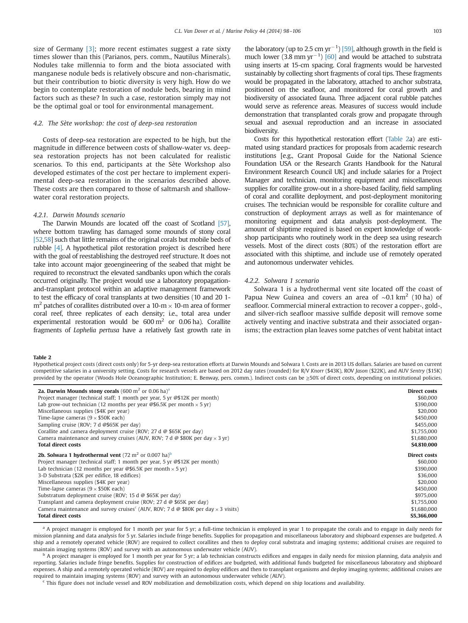size of Germany [3]; more recent estimates suggest a rate sixty times slower than this (Parianos, pers. comm., Nautilus Minerals). Nodules take millennia to form and the biota associated with manganese nodule beds is relatively obscure and non-charismatic, but their contribution to biotic diversity is very high. How do we begin to contemplate restoration of nodule beds, bearing in mind factors such as these? In such a case, restoration simply may not be the optimal goal or tool for environmental management.

#### 4.2. The Sète workshop: the cost of deep-sea restoration

Costs of deep-sea restoration are expected to be high, but the magnitude in difference between costs of shallow-water vs. deepsea restoration projects has not been calculated for realistic scenarios. To this end, participants at the Sète Workshop also developed estimates of the cost per hectare to implement experimental deep-sea restoration in the scenarios described above. These costs are then compared to those of saltmarsh and shallowwater coral restoration projects.

#### 4.2.1. Darwin Mounds scenario

The Darwin Mounds are located off the coast of Scotland [57], where bottom trawling has damaged some mounds of stony coral [52,58] such that little remains of the original corals but mobile beds of rubble [4]. A hypothetical pilot restoration project is described here with the goal of reestablishing the destroyed reef structure. It does not take into account major geoengineering of the seabed that might be required to reconstruct the elevated sandbanks upon which the corals occurred originally. The project would use a laboratory propagationand-transplant protocol within an adaptive management framework to test the efficacy of coral transplants at two densities (10 and 20 1  $m<sup>2</sup>$  patches of corallites distributed over a 10-m  $\times$  10-m area of former coral reef, three replicates of each density; i.e., total area under experimental restoration would be  $600 \text{ m}^2$  or 0.06 ha). Corallite fragments of Lophelia pertusa have a relatively fast growth rate in

the laboratory (up to 2.5 cm  $yr^{-1}$ ) [59], although growth in the field is much lower (3.8 mm  $yr^{-1}$ ) [60] and would be attached to substrata using inserts at 15-cm spacing. Coral fragments would be harvested sustainably by collecting short fragments of coral tips. These fragments would be propagated in the laboratory, attached to anchor substrata, positioned on the seafloor, and monitored for coral growth and biodiversity of associated fauna. Three adjacent coral rubble patches would serve as reference areas. Measures of success would include demonstration that transplanted corals grow and propagate through sexual and asexual reproduction and an increase in associated biodiversity.

Costs for this hypothetical restoration effort (Table 2a) are estimated using standard practices for proposals from academic research institutions [e.g., Grant Proposal Guide for the National Science Foundation USA or the Research Grants Handbook for the Natural Environment Research Council UK] and include salaries for a Project Manager and technician, monitoring equipment and miscellaneous supplies for corallite grow-out in a shore-based facility, field sampling of coral and corallite deployment, and post-deployment monitoring cruises. The technician would be responsible for corallite culture and construction of deployment arrays as well as for maintenance of monitoring equipment and data analysis post-deployment. The amount of shiptime required is based on expert knowledge of workshop participants who routinely work in the deep sea using research vessels. Most of the direct costs (80%) of the restoration effort are associated with this shiptime, and include use of remotely operated and autonomous underwater vehicles.

#### 4.2.2. Solwara 1 scenario

Solwara 1 is a hydrothermal vent site located off the coast of Papua New Guinea and covers an area of ~0.1 km<sup>2</sup> (10 ha) of seafloor. Commercial mineral extraction to recover a copper-, gold-, and silver-rich seafloor massive sulfide deposit will remove some actively venting and inactive substrata and their associated organisms; the extraction plan leaves some patches of vent habitat intact

#### Table 2

Hypothetical project costs (direct costs only) for 5-yr deep-sea restoration efforts at Darwin Mounds and Solwara 1. Costs are in 2013 US dollars. Salaries are based on current competitive salaries in a university setting. Costs for research vessels are based on 2012 day rates (rounded) for R/V Knorr (\$43K), ROV Jason (\$22K), and AUV Sentry (\$15K) provided by the operator (Woods Hole Oceanographic Institution; E. Benway, pers. comm.). Indirect costs can be ≥50% of direct costs, depending on institutional policies.

| <b>2a. Darwin Mounds stony corals</b> (600 m <sup>2</sup> or 0.06 ha) <sup>a</sup><br>Project manager (technical staff; 1 month per year, 5 yr @\$12K per month) | Direct costs<br>\$60,000 |
|------------------------------------------------------------------------------------------------------------------------------------------------------------------|--------------------------|
| Lab grow-out technician (12 months per year @\$6.5K per month $\times$ 5 yr)                                                                                     | \$390,000                |
| Miscellaneous supplies (\$4K per year)                                                                                                                           | \$20,000                 |
| Time-lapse cameras $(9 \times $50K$ each)                                                                                                                        | \$450,000                |
| Sampling cruise (ROV; 7 d @\$65K per day)                                                                                                                        | \$455,000                |
| Corallite and camera deployment cruise (ROV; 27 d $\omega$ \$65K per day)                                                                                        | \$1,755,000              |
| Camera maintenance and survey cruises (AUV, ROV; 7 d $\omega$ \$80K per day $\times$ 3 yr)                                                                       | \$1,680,000              |
| <b>Total direct costs</b>                                                                                                                                        | \$4,810,000              |
| <b>2b. Solwara 1 hydrothermal vent</b> (72 m <sup>2</sup> or 0.007 ha) <sup>b</sup>                                                                              | Direct costs             |
| Project manager (technical staff; 1 month per year, 5 yr @\$12K per month)                                                                                       | \$60,000                 |
| Lab technician (12 months per year @\$6.5K per month $\times$ 5 yr)                                                                                              | \$390,000                |
| 3-D Substrata (\$2K per edifice, 18 edifices)                                                                                                                    | \$36,000                 |
| Miscellaneous supplies (\$4K per year)                                                                                                                           | \$20,000                 |
| Time-lapse cameras $(9 \times $50K$ each)                                                                                                                        | \$450,000                |
| Substratum deployment cruise (ROV; 15 d @ \$65K per day)                                                                                                         | \$975,000                |
| Transplant and camera deployment cruise (ROV; 27 d $\omega$ \$65K per day)                                                                                       | \$1,755,000              |
| Camera maintenance and survey cruises (AUV, ROV; 7 d $\omega$ \$80K per day $\times$ 3 visits)                                                                   | \$1,680,000              |
| <b>Total direct costs</b>                                                                                                                                        | \$5,366,000              |
|                                                                                                                                                                  |                          |

<sup>a</sup> A project manager is employed for 1 month per year for 5 yr; a full-time technician is employed in year 1 to propagate the corals and to engage in daily needs for mission planning and data analysis for 5 yr. Salaries include fringe benefits. Supplies for propagation and miscellaneous laboratory and shipboard expenses are budgeted. A ship and a remotely operated vehicle (ROV) are required to collect corallites and then to deploy coral substrata and imaging systems; additional cruises are required to maintain imaging systems (ROV) and survey with an autonomous underwater vehicle (AUV).

<sup>b</sup> A project manager is employed for 1 month per year for 5 yr; a lab technician constructs edifices and engages in daily needs for mission planning, data analysis and reporting. Salaries include fringe benefits. Supplies for construction of edifices are budgeted, with additional funds budgeted for miscellaneous laboratory and shipboard expenses. A ship and a remotely operated vehicle (ROV) are required to deploy edifices and then to transplant organisms and deploy imaging systems; additional cruises are required to maintain imaging systems (ROV) and survey with an autonomous underwater vehicle (AUV).

<sup>c</sup> This figure does not include vessel and ROV mobilization and demobilization costs, which depend on ship locations and availability.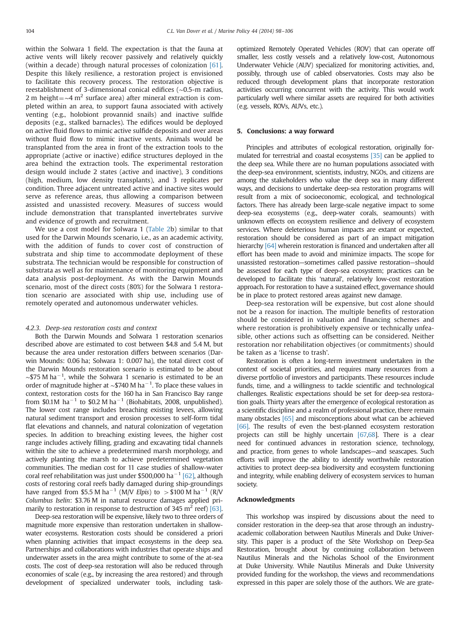within the Solwara 1 field. The expectation is that the fauna at active vents will likely recover passively and relatively quickly (within a decade) through natural processes of colonization [61]. Despite this likely resilience, a restoration project is envisioned to facilitate this recovery process. The restoration objective is reestablishment of 3-dimensional conical edifices (∼0.5-m radius, 2 m height =  $\sim$ 4 m<sup>2</sup> surface area) after mineral extraction is completed within an area, to support fauna associated with actively venting (e.g., holobiont provannid snails) and inactive sulfide deposits (e.g., stalked barnacles). The edifices would be deployed on active fluid flows to mimic active sulfide deposits and over areas without fluid flow to mimic inactive vents. Animals would be transplanted from the area in front of the extraction tools to the appropriate (active or inactive) edifice structures deployed in the area behind the extraction tools. The experimental restoration design would include 2 states (active and inactive), 3 conditions (high, medium, low density transplants), and 3 replicates per condition. Three adjacent untreated active and inactive sites would serve as reference areas, thus allowing a comparison between assisted and unassisted recovery. Measures of success would include demonstration that transplanted invertebrates survive and evidence of growth and recruitment.

We use a cost model for Solwara 1 (Table 2b) similar to that used for the Darwin Mounds scenario, i.e., as an academic activity, with the addition of funds to cover cost of construction of substrata and ship time to accommodate deployment of these substrata. The technician would be responsible for construction of substrata as well as for maintenance of monitoring equipment and data analysis post-deployment. As with the Darwin Mounds scenario, most of the direct costs (80%) for the Solwara 1 restoration scenario are associated with ship use, including use of remotely operated and autonomous underwater vehicles.

#### 4.2.3. Deep-sea restoration costs and context

Both the Darwin Mounds and Solwara 1 restoration scenarios described above are estimated to cost between \$4.8 and 5.4 M, but because the area under restoration differs between scenarios (Darwin Mounds: 0.06 ha; Solwara 1: 0.007 ha), the total direct cost of the Darwin Mounds restoration scenario is estimated to be about  $\sim$ \$75 M ha<sup>-1</sup>, while the Solwara 1 scenario is estimated to be an order of magnitude higher at ~\$740 M ha $^{-1}$ . To place these values in context, restoration costs for the 160 ha in San Francisco Bay range from \$0.1M ha<sup>-1</sup> to \$0.2 M ha<sup>-1</sup> (Biohabitats, 2008, unpublished). The lower cost range includes breaching existing levees, allowing natural sediment transport and erosion processes to self-form tidal flat elevations and channels, and natural colonization of vegetation species. In addition to breaching existing levees, the higher cost range includes actively filling, grading and excavating tidal channels within the site to achieve a predetermined marsh morphology, and actively planting the marsh to achieve predetermined vegetation communities. The median cost for 11 case studies of shallow-water coral reef rehabilitation was just under \$500,000 ha<sup>-1</sup> [62], although costs of restoring coral reefs badly damaged during ship-groundings have ranged from \$5.5 M ha<sup>-1</sup> (M/V Elpis) to  $>$  \$100 M ha<sup>-1</sup> (R/V Columbus Iselin: \$3.76 M in natural resource damages applied primarily to restoration in response to destruction of 345 m<sup>2</sup> reef) [63].

Deep-sea restoration will be expensive, likely two to three orders of magnitude more expensive than restoration undertaken in shallowwater ecosystems. Restoration costs should be considered a priori when planning activities that impact ecosystems in the deep sea. Partnerships and collaborations with industries that operate ships and underwater assets in the area might contribute to some of the at-sea costs. The cost of deep-sea restoration will also be reduced through economies of scale (e.g., by increasing the area restored) and through development of specialized underwater tools, including taskoptimized Remotely Operated Vehicles (ROV) that can operate off smaller, less costly vessels and a relatively low-cost, Autonomous Underwater Vehicle (AUV) specialized for monitoring activities, and, possibly, through use of cabled observatories. Costs may also be reduced through development plans that incorporate restoration activities occurring concurrent with the activity. This would work particularly well where similar assets are required for both activities (e.g. vessels, ROVs, AUVs, etc.).

#### 5. Conclusions: a way forward

Principles and attributes of ecological restoration, originally formulated for terrestrial and coastal ecosystems [35] can be applied to the deep sea. While there are no human populations associated with the deep-sea environment, scientists, industry, NGOs, and citizens are among the stakeholders who value the deep sea in many different ways, and decisions to undertake deep-sea restoration programs will result from a mix of socioeconomic, ecological, and technological factors. There has already been large-scale negative impact to some deep-sea ecosystems (e.g., deep-water corals, seamounts) with unknown effects on ecosystem resilience and delivery of ecosystem services. Where deleterious human impacts are extant or expected, restoration should be considered as part of an impact mitigation hierarchy [64] wherein restoration is financed and undertaken after all effort has been made to avoid and minimize impacts. The scope for unassisted restoration—sometimes called passive restoration—should be assessed for each type of deep-sea ecosystem; practices can be developed to facilitate this 'natural', relatively low-cost restoration approach. For restoration to have a sustained effect, governance should be in place to protect restored areas against new damage.

Deep-sea restoration will be expensive, but cost alone should not be a reason for inaction. The multiple benefits of restoration should be considered in valuation and financing schemes and where restoration is prohibitively expensive or technically unfeasible, other actions such as offsetting can be considered. Neither restoration nor rehabilitation objectives (or commitments) should be taken as a 'license to trash'.

Restoration is often a long-term investment undertaken in the context of societal priorities, and requires many resources from a diverse portfolio of investors and participants. These resources include funds, time, and a willingness to tackle scientific and technological challenges. Realistic expectations should be set for deep-sea restoration goals. Thirty years after the emergence of ecological restoration as a scientific discipline and a realm of professional practice, there remain many obstacles [65] and misconceptions about what can be achieved [66]. The results of even the best-planned ecosystem restoration projects can still be highly uncertain [67,68]. There is a clear need for continued advances in restoration science, technology, and practice, from genes to whole landscapes—and seascapes. Such efforts will improve the ability to identify worthwhile restoration activities to protect deep-sea biodiversity and ecosystem functioning and integrity, while enabling delivery of ecosystem services to human society.

#### Acknowledgments

This workshop was inspired by discussions about the need to consider restoration in the deep-sea that arose through an industryacademic collaboration between Nautilus Minerals and Duke University. This paper is a product of the Sète Workshop on Deep-Sea Restoration, brought about by continuing collaboration between Nautilus Minerals and the Nicholas School of the Environment at Duke University. While Nautilus Minerals and Duke University provided funding for the workshop, the views and recommendations expressed in this paper are solely those of the authors. We are grate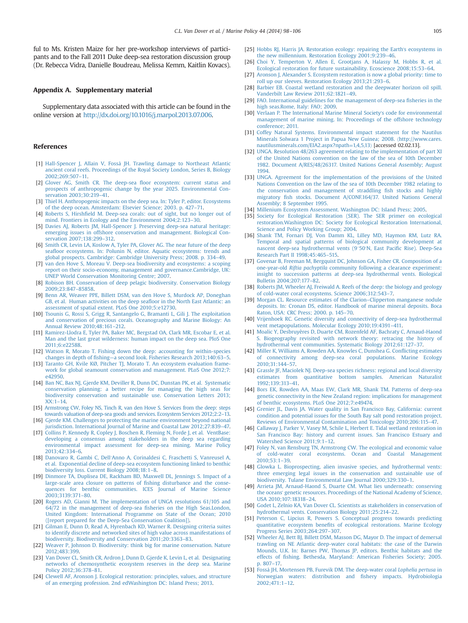ful to Ms. Kristen Maize for her pre-workshop interviews of participants and to the Fall 2011 Duke deep-sea restoration discussion group (Dr. Rebecca Vidra, Danielle Boudreau, Melissa Kemm, Kaitlin Kovacs).

#### Appendix A. Supplementary material

Supplementary data associated with this article can be found in the online version at <http://dx.doi.org/10.1016/j.marpol.2013.07.006>.

#### References

- [1] [Hall-Spencer](http://refhub.elsevier.com/S0308-597X(13)00148-6/sbref1) J, Allain V, Fosså JH. Trawling damage to Northeast Atlantic ancient coral reefs. [Proceedings](http://refhub.elsevier.com/S0308-597X(13)00148-6/sbref1) of the Royal Society London, Series B, Biology [2002;269:507](http://refhub.elsevier.com/S0308-597X(13)00148-6/sbref1)–11.
- [2] Glover AG, Smith CR. The deep-sea floor [ecosystem:](http://refhub.elsevier.com/S0308-597X(13)00148-6/sbref2) current status and prospects of anthropogenic change by the year 2025. [Environmental](http://refhub.elsevier.com/S0308-597X(13)00148-6/sbref2) Conservation [2003;30:219](http://refhub.elsevier.com/S0308-597X(13)00148-6/sbref2)–41.
- [3] Thiel H. [Anthropogenic](http://refhub.elsevier.com/S0308-597X(13)00148-6/sbref3) impacts on the deep sea. In: Tyler P, editor. Ecosystems of the deep ocean. [Amsterdam:](http://refhub.elsevier.com/S0308-597X(13)00148-6/sbref3) Elsevier Science; 2003. p. 427–71.
- [4] Roberts S, Hirshfield M. [Deep-sea](http://refhub.elsevier.com/S0308-597X(13)00148-6/sbref4) corals: out of sight, but no longer out of mind. Frontiers in Ecology and the [Environment](http://refhub.elsevier.com/S0308-597X(13)00148-6/sbref4) 2004;2:123–30.
- [5] Davies AJ, Roberts JM, [Hall-Spencer](http://refhub.elsevier.com/S0308-597X(13)00148-6/sbref5) J. Preserving deep-sea natural heritage: emerging issues in offshore conservation and [management.](http://refhub.elsevier.com/S0308-597X(13)00148-6/sbref5) Biological Conservation [2007;138:299](http://refhub.elsevier.com/S0308-597X(13)00148-6/sbref5)–312.
- [6] Smith CR, Levin LA, [Koslow](http://refhub.elsevier.com/S0308-597X(13)00148-6/sbref6) A, Tyler PA, Glover AG. The near future of the deep seafloor ecosystems. In: Polunin N, editor. Aquatic [ecosystems:](http://refhub.elsevier.com/S0308-597X(13)00148-6/sbref6) trends and global prospects. [Cambridge:](http://refhub.elsevier.com/S0308-597X(13)00148-6/sbref6) Cambridge University Press; 2008. p. 334–49.
- [7] van den Hove S, Moreau V. Deep-sea biodiversity and [ecosystems:](http://refhub.elsevier.com/S0308-597X(13)00148-6/sbref7) a scoping report on their socio-economy, management and [governance.Cambridge,](http://refhub.elsevier.com/S0308-597X(13)00148-6/sbref7) UK: UNEP World [Conservation](http://refhub.elsevier.com/S0308-597X(13)00148-6/sbref7) Monitoring Centre; 2007.
- [8] Robison BH. Conservation of deep pelagic biodiversity. [Conservation](http://refhub.elsevier.com/S0308-597X(13)00148-6/sbref8) Biology [2009;23:847](http://refhub.elsevier.com/S0308-597X(13)00148-6/sbref8)–85858.
- [9] Benn AR, Weaver PPE, Billett DSM, van den Hove S, Murdock AP, [Doneghan](http://refhub.elsevier.com/S0308-597X(13)00148-6/sbref9) GB, et al. Human [activities](http://refhub.elsevier.com/S0308-597X(13)00148-6/sbref9) on the deep seafloor in the North East Atlantic: an assessment of spatial extent. PLoS One [2010;5:e12730.](http://refhub.elsevier.com/S0308-597X(13)00148-6/sbref9)
- [10] Tsounis G, Rossi S, Grigg R, Santangelo G, Bramanti L, Gili J. The [exploitation](http://refhub.elsevier.com/S0308-597X(13)00148-6/sbref10) and conservation of precious corals. [Oceanography](http://refhub.elsevier.com/S0308-597X(13)00148-6/sbref10) and Marine Biology: An Annual Review [2010;48:161](http://refhub.elsevier.com/S0308-597X(13)00148-6/sbref10)–212.
- [11] [Ramirez-Llodra](http://refhub.elsevier.com/S0308-597X(13)00148-6/sbref11) E, Tyler PA, Baker MC, Bergstad OA, Clark MR, Escobar E, et al. Man and the last great [wilderness:](http://refhub.elsevier.com/S0308-597X(13)00148-6/sbref11) human impact on the deep sea. PloS One [2011;6:e22588.](http://refhub.elsevier.com/S0308-597X(13)00148-6/sbref11)
- [12] Watson R, Morato T. Fishing down the deep: accounting for [within-species](http://refhub.elsevier.com/S0308-597X(13)00148-6/sbref12) changes in depth of fishing—a second look. Fisheries Research [2013;140:63](http://refhub.elsevier.com/S0308-597X(13)00148-6/sbref12)–5.
- [13] Taranto GH, Kvile KØ, Pitcher TJ, Morato T. An ecosystem [evaluation](http://refhub.elsevier.com/S0308-597X(13)00148-6/sbref13) framework for global seamount conservation and [management.](http://refhub.elsevier.com/S0308-597X(13)00148-6/sbref13) PLoS One 2012;7: [e42950.](http://refhub.elsevier.com/S0308-597X(13)00148-6/sbref13)
- [14] Ban NC, Bax NJ, Gjerde KM, Deviller R, Dunn DC, Dunstan PK, et al. [Systematic](http://refhub.elsevier.com/S0308-597X(13)00148-6/sbref14) [conservation](http://refhub.elsevier.com/S0308-597X(13)00148-6/sbref14) planning: a better recipe for managing the high seas for biodiversity conservation and sustainable use. [Conservation](http://refhub.elsevier.com/S0308-597X(13)00148-6/sbref14) Letters 2013;  $XX:1-14$  $XX:1-14$
- [15] [Armstrong](http://refhub.elsevier.com/S0308-597X(13)00148-6/sbref15) CW, Foley NS, Tinch R, van den Hove S. Services from the deep: steps towards valuation of deep-sea goods and services. [Ecosystem](http://refhub.elsevier.com/S0308-597X(13)00148-6/sbref15) Services 2012;2:2–13.
- [16] Gjerde KM. Challenges to protecting the marine [environment](http://refhub.elsevier.com/S0308-597X(13)00148-6/sbref16) beyond national jurisdiction. [International](http://refhub.elsevier.com/S0308-597X(13)00148-6/sbref16) Journal of Marine and Coastal Law 2012;27:839–47.
- [17] Collins P, Kennedy R, Copley J, Boschen R, Fleming N, Forde J, et al. [VentBase:](http://refhub.elsevier.com/S0308-597X(13)00148-6/sbref17) developing a consensus among [stakeholders](http://refhub.elsevier.com/S0308-597X(13)00148-6/sbref17) in the deep sea regarding [environmental](http://refhub.elsevier.com/S0308-597X(13)00148-6/sbref17) impact assessment for deep-sea mining. Marine Policy [2013;42:334](http://refhub.elsevier.com/S0308-597X(13)00148-6/sbref17)–6.
- [18] Danovaro R, Gambi C, Dell′Anno A, [Corinaldesi](http://refhub.elsevier.com/S0308-597X(13)00148-6/sbref18) C, Fraschetti S, Vanreusel A, et al. [Exponential](http://refhub.elsevier.com/S0308-597X(13)00148-6/sbref18) decline of deep-sea ecosystem functioning linked to benthic [biodiversity](http://refhub.elsevier.com/S0308-597X(13)00148-6/sbref18) loss. Current Biology 2008;18:1–8.
- [19] Dinmore TA, Duplisea DE, [Rackham](http://refhub.elsevier.com/S0308-597X(13)00148-6/sbref19) BD, Maxwell DL, Jennings S. Impact of a large-scale area closure on patterns of fishing [disturbance](http://refhub.elsevier.com/S0308-597X(13)00148-6/sbref19) and the consequences for benthic [communities.](http://refhub.elsevier.com/S0308-597X(13)00148-6/sbref19) ICES Journal of Marine Science [2003;3139:371](http://refhub.elsevier.com/S0308-597X(13)00148-6/sbref19)–80.
- [20] Rogers AD, Gianni M. The [implementation](http://refhub.elsevier.com/S0308-597X(13)00148-6/sbref20) of UNGA resolutions 61/105 and 64/72 in the [management](http://refhub.elsevier.com/S0308-597X(13)00148-6/sbref20) of deep-sea fisheries on the High Seas.London, United Kingdom: [International](http://refhub.elsevier.com/S0308-597X(13)00148-6/sbref20) Programme on State of the Ocean; 2010 ([report prepared for the Deep-Sea [Conservation](http://refhub.elsevier.com/S0308-597X(13)00148-6/sbref20) Coalition]).
- [21] Gilman E, Dunn D, Read A, [Hyrenbach](http://refhub.elsevier.com/S0308-597X(13)00148-6/sbref21) KD, Warner R. Designing criteria suites to identify discrete and networked sites of high value across [manifestations](http://refhub.elsevier.com/S0308-597X(13)00148-6/sbref21) of biodiversity. Biodiversity and Conservation [2011;20:3363](http://refhub.elsevier.com/S0308-597X(13)00148-6/sbref21)–83.
- [22] Weaver P, Johnson D. Biodiversity: think big for marine [conservation.](http://refhub.elsevier.com/S0308-597X(13)00148-6/sbref22) Nature [2012;483:399.](http://refhub.elsevier.com/S0308-597X(13)00148-6/sbref22)
- [23] Van Dover CL, Smith CR, Ardron J, Dunn D, Gjerde K, Levin L, et al. [Designating](http://refhub.elsevier.com/S0308-597X(13)00148-6/sbref23) networks of [chemosynthetic](http://refhub.elsevier.com/S0308-597X(13)00148-6/sbref23) ecosystem reserves in the deep sea. Marine Policy [2012;36:378](http://refhub.elsevier.com/S0308-597X(13)00148-6/sbref23)–81.
- [24] Clewell AF, Aronson J. Ecological [restoration:](http://refhub.elsevier.com/S0308-597X(13)00148-6/sbref24) principles, values, and structure of an emerging profession. 2nd [edWashington](http://refhub.elsevier.com/S0308-597X(13)00148-6/sbref24) DC: Island Press; 2013.
- [25] Hobbs RJ, Harris JA. [Restoration](http://refhub.elsevier.com/S0308-597X(13)00148-6/sbref25) ecology: repairing the Earth's ecosystems in the new [millennium.](http://refhub.elsevier.com/S0308-597X(13)00148-6/sbref25) Restoration Ecology 2001;9:239–46.
- [26] Choi Y, [Temperton](http://refhub.elsevier.com/S0308-597X(13)00148-6/sbref26) V, Allen E, Grootjans A, Halassy M, Hobbs R, et al. Ecological restoration for future [sustainability.](http://refhub.elsevier.com/S0308-597X(13)00148-6/sbref26) Ecoscience 2008;15:53–64.
- [27] Aronson J, Alexander S. Ecosystem [restoration](http://refhub.elsevier.com/S0308-597X(13)00148-6/sbref27) is now a global priority: time to roll up our sleeves. Restoration Ecology [2013;21:293](http://refhub.elsevier.com/S0308-597X(13)00148-6/sbref27)–6.
- [28] Barbier EB. Coastal wetland [restoration](http://refhub.elsevier.com/S0308-597X(13)00148-6/sbref28) and the deepwater horizon oil spill. Vanderbilt Law Review [2011;62:1821](http://refhub.elsevier.com/S0308-597X(13)00148-6/sbref28)–49.
- [29] FAO. International guidelines for the [management](http://refhub.elsevier.com/S0308-597X(13)00148-6/sbref29) of deep-sea fisheries in the high [seas.Rome,](http://refhub.elsevier.com/S0308-597X(13)00148-6/sbref29) Italy: FAO; 2009.
- [30] Verlaan P. The International Marine Mineral Society's code for [environmental](http://refhub.elsevier.com/S0308-597X(13)00148-6/othref0005) [management](http://refhub.elsevier.com/S0308-597X(13)00148-6/othref0005) of marine mining. In: Proceedings of the offshore technology [conference;](http://refhub.elsevier.com/S0308-597X(13)00148-6/othref0005) 2011.
- [31] Coffey Natural Systems. [Environmental](http://refhub.elsevier.com/S0308-597X(13)00148-6/othref0010) impact statement for the Nautilus Minerals Solwara 1 Project in Papua New Guinea; 2008. 〈[http://www.cares.](http://www.cares.nautilusminerals.com/EIA2.aspx?npath=1,4,5,13) [nautilusminerals.com/EIA2.aspx?npath](http://www.cares.nautilusminerals.com/EIA2.aspx?npath=1,4,5,13)=1,4,5,13〉 [accessed 02.02.13].
- [32] UNGA. Resolution 48/263 agreement relating to the [implementation](http://refhub.elsevier.com/S0308-597X(13)00148-6/othref0015) of part XI of the United Nations [convention](http://refhub.elsevier.com/S0308-597X(13)00148-6/othref0015) on the law of the sea of 10th December 1982. Document [A/RES/48/26317.](http://refhub.elsevier.com/S0308-597X(13)00148-6/othref0015) United Nations General Assembly; August [1994.](http://refhub.elsevier.com/S0308-597X(13)00148-6/othref0015)
- [33] UNGA. Agreement for the [implementation](http://refhub.elsevier.com/S0308-597X(13)00148-6/othref0020) of the provisions of the United Nations [Convention](http://refhub.elsevier.com/S0308-597X(13)00148-6/othref0020) on the law of the sea of 10th December 1982 relating to the conservation and [management](http://refhub.elsevier.com/S0308-597X(13)00148-6/othref0020) of straddling fish stocks and highly migratory fish stocks. Document [A/CONF.164/37.](http://refhub.elsevier.com/S0308-597X(13)00148-6/othref0020) United Nations General Assembly; 8 [September](http://refhub.elsevier.com/S0308-597X(13)00148-6/othref0020) 1995.
- [34] Millenium Ecosystem [Assessment.](http://refhub.elsevier.com/S0308-597X(13)00148-6/sbref30) Washington DC: Island Press; 2005.
- [35] Society for Ecological [Restoration](http://refhub.elsevier.com/S0308-597X(13)00148-6/sbref31) (SER). The SER primer on ecological [restoration.Washington](http://refhub.elsevier.com/S0308-597X(13)00148-6/sbref31) DC: Society for Ecological Restoration International, Science and Policy [Working](http://refhub.elsevier.com/S0308-597X(13)00148-6/sbref31) Group; 2004.
- [36] Shank TM, Fornari DJ, Von Damm KL, Lilley MD, [Haymon](http://refhub.elsevier.com/S0308-597X(13)00148-6/sbref32) RM, Lutz RA. Temporal and spatial patterns of biological community [development](http://refhub.elsevier.com/S0308-597X(13)00148-6/sbref32) at nascent deep-sea [hydrothermal](http://refhub.elsevier.com/S0308-597X(13)00148-6/sbref32) vents (9°50'N, East Pacific Rise). Deep-Sea Research Part II [1998;45:465](http://refhub.elsevier.com/S0308-597X(13)00148-6/sbref32)–515.
- [37] Govenar B, Freeman M, Bergquist DC, Johnson GA, Fisher CR. [Composition](http://refhub.elsevier.com/S0308-597X(13)00148-6/sbref33) of a [one-year-old](http://refhub.elsevier.com/S0308-597X(13)00148-6/sbref33) Riftia pachyptila community following a clearance experiment: insight to succession patterns at deep-sea [hydrothermal](http://refhub.elsevier.com/S0308-597X(13)00148-6/sbref33) vents. Biological Bulletin [2004;207:177](http://refhub.elsevier.com/S0308-597X(13)00148-6/sbref33)–82.
- [38] Roberts JM, Wheeler AJ, [Freiwald](http://refhub.elsevier.com/S0308-597X(13)00148-6/sbref34) A, Reefs of the deep: the biology and geology of cold-water coral ecosystems. Science [2006;312:543](http://refhub.elsevier.com/S0308-597X(13)00148-6/sbref34)–7.
- [39] Morgan CL. Resource estimates of the Clarion–Clipperton [manganese](http://refhub.elsevier.com/S0308-597X(13)00148-6/sbref35) nodule deposits. In: Cronan DS, editor. [Handbook](http://refhub.elsevier.com/S0308-597X(13)00148-6/sbref35) of marine mineral deposits. Boca [Raton,](http://refhub.elsevier.com/S0308-597X(13)00148-6/sbref35) USA: CRC Press; 2000. p. 145–70.
- [40] Vrijenhoek RC. Genetic diversity and connectivity of deep-sea [hydrothermal](http://refhub.elsevier.com/S0308-597X(13)00148-6/sbref36) vent [metapopulations.](http://refhub.elsevier.com/S0308-597X(13)00148-6/sbref36) Molecular Ecology 2010;19:4391–411.
- [41] Moalic Y, Desbruyères D, Duarte CM, Rozenfeld AF, Bachraty C, [Arnaud-Haond](http://refhub.elsevier.com/S0308-597X(13)00148-6/sbref37) S. [Biogeography](http://refhub.elsevier.com/S0308-597X(13)00148-6/sbref37) revisited with network theory: retracing the history of [hydrothermal](http://refhub.elsevier.com/S0308-597X(13)00148-6/sbref37) vent communities. Systematic Biology 2012;61:127–37.
- [42] Miller K, Williams A, Rowden AA, Knowles C, Dunshea G. Conflicting [estimates](http://refhub.elsevier.com/S0308-597X(13)00148-6/sbref38) of connectivity among deep-sea coral [populations.](http://refhub.elsevier.com/S0308-597X(13)00148-6/sbref38) Marine Ecology [2010;31:144](http://refhub.elsevier.com/S0308-597X(13)00148-6/sbref38)–57.
- [43] Grassle JF, Maciolek NJ. [Deep-sea](http://refhub.elsevier.com/S0308-597X(13)00148-6/sbref39) species richness: regional and local diversity estimates from [quantitative](http://refhub.elsevier.com/S0308-597X(13)00148-6/sbref39) bottom samples. American Naturalist [1992;139:313](http://refhub.elsevier.com/S0308-597X(13)00148-6/sbref39)–41.
- [44] Bors EK, Rowden AA, Maas EW, Clark MR, Shank TM. Patterns of [deep-sea](http://refhub.elsevier.com/S0308-597X(13)00148-6/sbref40) genetic connectivity in the New Zealand region: implications for [management](http://refhub.elsevier.com/S0308-597X(13)00148-6/sbref40) of benthic ecosystems. PLoS One [2012;7:e49474.](http://refhub.elsevier.com/S0308-597X(13)00148-6/sbref40)
- [45] Grenier JL, Davis JA. Water quality in San Francisco Bay, [California:](http://refhub.elsevier.com/S0308-597X(13)00148-6/sbref41) current condition and potential issues for the South Bay salt pond [restoration](http://refhub.elsevier.com/S0308-597X(13)00148-6/sbref41) project. Reviews of Environmental [Contamination](http://refhub.elsevier.com/S0308-597X(13)00148-6/sbref41) and Toxicology 2010;206:115–47.
- [46] Callaway J, Parker V, Vasey M, Schile L, Herbert E. Tidal wetland [restoration](http://refhub.elsevier.com/S0308-597X(13)00148-6/sbref42) in San Francisco Bay: history and current issues. San [Francisco](http://refhub.elsevier.com/S0308-597X(13)00148-6/sbref42) Estuary and [Watershed](http://refhub.elsevier.com/S0308-597X(13)00148-6/sbref42) Science 2011;9:1–12.
- [47] Foley N, van Rensburg TN, [Armstrong](http://refhub.elsevier.com/S0308-597X(13)00148-6/sbref43) CW. The ecological and economic value of cold-water coral ecosystems. Ocean and Coastal [Management](http://refhub.elsevier.com/S0308-597X(13)00148-6/sbref43) [2010;53:1](http://refhub.elsevier.com/S0308-597X(13)00148-6/sbref43)–39.
- [48] Glowka L. [Bioprospecting,](http://refhub.elsevier.com/S0308-597X(13)00148-6/sbref44) alien invasive species, and hydrothermal vents: three emerging legal issues in the [conservation](http://refhub.elsevier.com/S0308-597X(13)00148-6/sbref44) and sustainable use of biodiversity. Tulane [Environmental](http://refhub.elsevier.com/S0308-597X(13)00148-6/sbref44) Law Journal 2000;329:330–1.
- [49] Arrieta JM, [Arnaud-Haond](http://refhub.elsevier.com/S0308-597X(13)00148-6/sbref45) S, Duarte CM. What lies underneath: conserving the oceans' genetic resources. [Proceedings](http://refhub.elsevier.com/S0308-597X(13)00148-6/sbref45) of the National Academy of Science, USA [2010;107:18318](http://refhub.elsevier.com/S0308-597X(13)00148-6/sbref45)–24.
- [50] Godet L, Zelnio KA, Van Dover CL. Scientists as stakeholders in [conservation](http://refhub.elsevier.com/S0308-597X(13)00148-6/sbref46) of [hydrothermal](http://refhub.elsevier.com/S0308-597X(13)00148-6/sbref46) vents. Conservation Biology 2011;25:214–22.
- [51] Peterson C, Lipcius R, Powers S. [Conceptual](http://refhub.elsevier.com/S0308-597X(13)00148-6/sbref47) progress towards predicting quantitative ecosystem benefits of ecological [restorations.](http://refhub.elsevier.com/S0308-597X(13)00148-6/sbref47) Marine Ecology Progress Series [2003;264:297](http://refhub.elsevier.com/S0308-597X(13)00148-6/sbref47)–307.
- [52] Wheeler AJ, Bett BJ, Billett DSM, Masson DG, Mayor D. The impact of [demersal](http://refhub.elsevier.com/S0308-597X(13)00148-6/sbref48) trawling on NE Atlantic [deep-water](http://refhub.elsevier.com/S0308-597X(13)00148-6/sbref48) coral habitats: the case of the Darwin [Mounds,](http://refhub.elsevier.com/S0308-597X(13)00148-6/sbref48) U.K. In: Barnes PW, Thomas JP, editors. Benthic habitats and the effects of fishing. Bethesda, [Maryland:](http://refhub.elsevier.com/S0308-597X(13)00148-6/sbref48) American Fisheries Society; 2005. p. [807](http://refhub.elsevier.com/S0308-597X(13)00148-6/sbref48)–17.
- [53] Fosså JH, Mortensen PB, Furevik DM. The [deep-water](http://refhub.elsevier.com/S0308-597X(13)00148-6/sbref49) coral Lophelia pertusa in Norwegian waters: distribution and fishery impacts. [Hydrobiologia](http://refhub.elsevier.com/S0308-597X(13)00148-6/sbref49) [2002;471:1](http://refhub.elsevier.com/S0308-597X(13)00148-6/sbref49)–12.